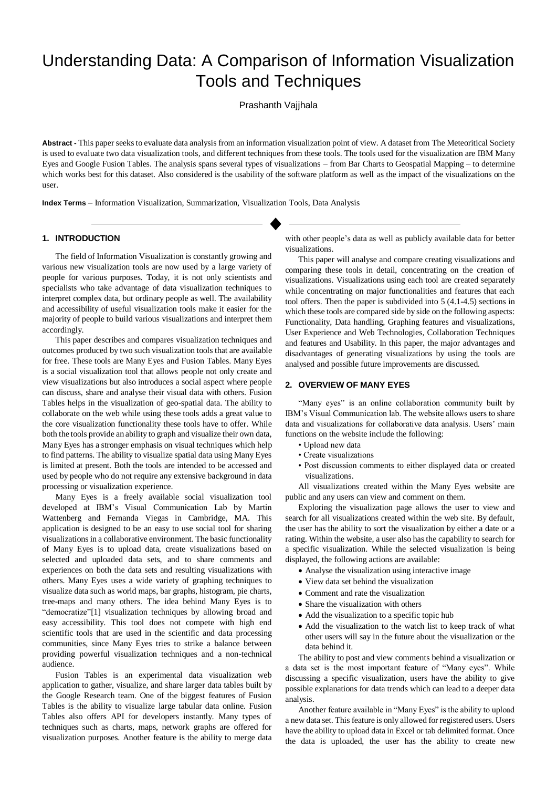# Understanding Data: A Comparison of Information Visualization Tools and Techniques

Prashanth Vajjhala

**Abstract -** This paper seeks to evaluate data analysis from an information visualization point of view. A dataset from The Meteoritical Society is used to evaluate two data visualization tools, and different techniques from these tools. The tools used for the visualization are IBM Many Eyes and Google Fusion Tables. The analysis spans several types of visualizations – from Bar Charts to Geospatial Mapping – to determine which works best for this dataset. Also considered is the usability of the software platform as well as the impact of the visualizations on the user.

**Index Terms** – Information Visualization, Summarization, Visualization Tools, Data Analysis

#### **1. INTRODUCTION**

The field of Information Visualization is constantly growing and various new visualization tools are now used by a large variety of people for various purposes. Today, it is not only scientists and specialists who take advantage of data visualization techniques to interpret complex data, but ordinary people as well. The availability and accessibility of useful visualization tools make it easier for the majority of people to build various visualizations and interpret them accordingly.

This paper describes and compares visualization techniques and outcomes produced by two such visualization tools that are available for free. These tools are Many Eyes and Fusion Tables. Many Eyes is a social visualization tool that allows people not only create and view visualizations but also introduces a social aspect where people can discuss, share and analyse their visual data with others. Fusion Tables helps in the visualization of geo-spatial data. The ability to collaborate on the web while using these tools adds a great value to the core visualization functionality these tools have to offer. While both the tools provide an ability to graph and visualize their own data, Many Eyes has a stronger emphasis on visual techniques which help to find patterns. The ability to visualize spatial data using Many Eyes is limited at present. Both the tools are intended to be accessed and used by people who do not require any extensive background in data processing or visualization experience.

Many Eyes is a freely available social visualization tool developed at IBM's Visual Communication Lab by Martin Wattenberg and Fernanda Viegas in Cambridge, MA. This application is designed to be an easy to use social tool for sharing visualizations in a collaborative environment. The basic functionality of Many Eyes is to upload data, create visualizations based on selected and uploaded data sets, and to share comments and experiences on both the data sets and resulting visualizations with others. Many Eyes uses a wide variety of graphing techniques to visualize data such as world maps, bar graphs, histogram, pie charts, tree-maps and many others. The idea behind Many Eyes is to "democratize"[1] visualization techniques by allowing broad and easy accessibility. This tool does not compete with high end scientific tools that are used in the scientific and data processing communities, since Many Eyes tries to strike a balance between providing powerful visualization techniques and a non-technical audience.

Fusion Tables is an experimental data visualization web application to gather, visualize, and share larger data tables built by the Google Research team. One of the biggest features of Fusion Tables is the ability to visualize large tabular data online. Fusion Tables also offers API for developers instantly. Many types of techniques such as charts, maps, network graphs are offered for visualization purposes. Another feature is the ability to merge data with other people's data as well as publicly available data for better visualizations.

This paper will analyse and compare creating visualizations and comparing these tools in detail, concentrating on the creation of visualizations. Visualizations using each tool are created separately while concentrating on major functionalities and features that each tool offers. Then the paper is subdivided into 5 (4.1-4.5) sections in which these tools are compared side by side on the following aspects: Functionality, Data handling, Graphing features and visualizations, User Experience and Web Technologies, Collaboration Techniques and features and Usability. In this paper, the major advantages and disadvantages of generating visualizations by using the tools are analysed and possible future improvements are discussed.

# **2. OVERVIEW OF MANY EYES**

"Many eyes" is an online collaboration community built by IBM's Visual Communication lab. The website allows users to share data and visualizations for collaborative data analysis. Users' main functions on the website include the following:

- Upload new data
- Create visualizations
- Post discussion comments to either displayed data or created visualizations.

All visualizations created within the Many Eyes website are public and any users can view and comment on them.

Exploring the visualization page allows the user to view and search for all visualizations created within the web site. By default, the user has the ability to sort the visualization by either a date or a rating. Within the website, a user also has the capability to search for a specific visualization. While the selected visualization is being displayed, the following actions are available:

- Analyse the visualization using interactive image
- View data set behind the visualization
- Comment and rate the visualization
- Share the visualization with others
- Add the visualization to a specific topic hub
- Add the visualization to the watch list to keep track of what other users will say in the future about the visualization or the data behind it.

The ability to post and view comments behind a visualization or a data set is the most important feature of "Many eyes". While discussing a specific visualization, users have the ability to give possible explanations for data trends which can lead to a deeper data analysis.

Another feature available in "Many Eyes" is the ability to upload a new data set. This feature is only allowed for registered users. Users have the ability to upload data in Excel or tab delimited format. Once the data is uploaded, the user has the ability to create new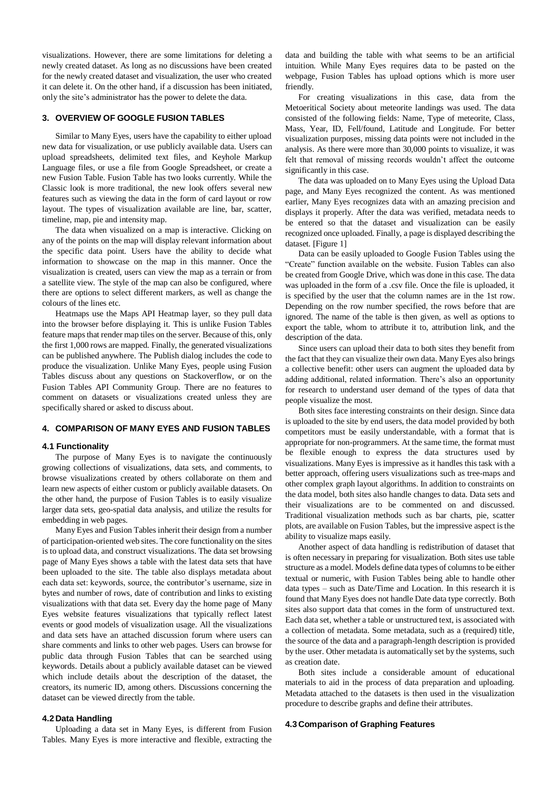visualizations. However, there are some limitations for deleting a newly created dataset. As long as no discussions have been created for the newly created dataset and visualization, the user who created it can delete it. On the other hand, if a discussion has been initiated, only the site's administrator has the power to delete the data.

#### **3. OVERVIEW OF GOOGLE FUSION TABLES**

Similar to Many Eyes, users have the capability to either upload new data for visualization, or use publicly available data. Users can upload spreadsheets, delimited text files, and Keyhole Markup Language files, or use a file from Google Spreadsheet, or create a new Fusion Table. Fusion Table has two looks currently. While the Classic look is more traditional, the new look offers several new features such as viewing the data in the form of card layout or row layout. The types of visualization available are line, bar, scatter, timeline, map, pie and intensity map.

The data when visualized on a map is interactive. Clicking on any of the points on the map will display relevant information about the specific data point. Users have the ability to decide what information to showcase on the map in this manner. Once the visualization is created, users can view the map as a terrain or from a satellite view. The style of the map can also be configured, where there are options to select different markers, as well as change the colours of the lines etc.

Heatmaps use the Maps API Heatmap layer, so they pull data into the browser before displaying it. This is unlike Fusion Tables feature maps that render map tiles on the server. Because of this, only the first 1,000 rows are mapped. Finally, the generated visualizations can be published anywhere. The Publish dialog includes the code to produce the visualization. Unlike Many Eyes, people using Fusion Tables discuss about any questions on Stackoverflow, or on the Fusion Tables API Community Group. There are no features to comment on datasets or visualizations created unless they are specifically shared or asked to discuss about.

#### **4. COMPARISON OF MANY EYES AND FUSION TABLES**

#### **4.1 Functionality**

The purpose of Many Eyes is to navigate the continuously growing collections of visualizations, data sets, and comments, to browse visualizations created by others collaborate on them and learn new aspects of either custom or publicly available datasets. On the other hand, the purpose of Fusion Tables is to easily visualize larger data sets, geo-spatial data analysis, and utilize the results for embedding in web pages.

Many Eyes and Fusion Tables inherit their design from a number of participation-oriented web sites. The core functionality on the sites is to upload data, and construct visualizations. The data set browsing page of Many Eyes shows a table with the latest data sets that have been uploaded to the site. The table also displays metadata about each data set: keywords, source, the contributor's username, size in bytes and number of rows, date of contribution and links to existing visualizations with that data set. Every day the home page of Many Eyes website features visualizations that typically reflect latest events or good models of visualization usage. All the visualizations and data sets have an attached discussion forum where users can share comments and links to other web pages. Users can browse for public data through Fusion Tables that can be searched using keywords. Details about a publicly available dataset can be viewed which include details about the description of the dataset, the creators, its numeric ID, among others. Discussions concerning the dataset can be viewed directly from the table.

#### **4.2 Data Handling**

Uploading a data set in Many Eyes, is different from Fusion Tables. Many Eyes is more interactive and flexible, extracting the data and building the table with what seems to be an artificial intuition. While Many Eyes requires data to be pasted on the webpage, Fusion Tables has upload options which is more user friendly.

For creating visualizations in this case, data from the Metoeritical Society about meteorite landings was used. The data consisted of the following fields: Name, Type of meteorite, Class, Mass, Year, ID, Fell/found, Latitude and Longitude. For better visualization purposes, missing data points were not included in the analysis. As there were more than 30,000 points to visualize, it was felt that removal of missing records wouldn't affect the outcome significantly in this case.

The data was uploaded on to Many Eyes using the Upload Data page, and Many Eyes recognized the content. As was mentioned earlier, Many Eyes recognizes data with an amazing precision and displays it properly. After the data was verified, metadata needs to be entered so that the dataset and visualization can be easily recognized once uploaded. Finally, a page is displayed describing the dataset. [Figure 1]

Data can be easily uploaded to Google Fusion Tables using the "Create" function available on the website. Fusion Tables can also be created from Google Drive, which was done in this case. The data was uploaded in the form of a .csv file. Once the file is uploaded, it is specified by the user that the column names are in the 1st row. Depending on the row number specified, the rows before that are ignored. The name of the table is then given, as well as options to export the table, whom to attribute it to, attribution link, and the description of the data.

Since users can upload their data to both sites they benefit from the fact that they can visualize their own data. Many Eyes also brings a collective benefit: other users can augment the uploaded data by adding additional, related information. There's also an opportunity for research to understand user demand of the types of data that people visualize the most.

Both sites face interesting constraints on their design. Since data is uploaded to the site by end users, the data model provided by both competitors must be easily understandable, with a format that is appropriate for non-programmers. At the same time, the format must be flexible enough to express the data structures used by visualizations. Many Eyes is impressive as it handles this task with a better approach, offering users visualizations such as tree-maps and other complex graph layout algorithms. In addition to constraints on the data model, both sites also handle changes to data. Data sets and their visualizations are to be commented on and discussed. Traditional visualization methods such as bar charts, pie, scatter plots, are available on Fusion Tables, but the impressive aspect is the ability to visualize maps easily.

Another aspect of data handling is redistribution of dataset that is often necessary in preparing for visualization. Both sites use table structure as a model. Models define data types of columns to be either textual or numeric, with Fusion Tables being able to handle other data types – such as Date/Time and Location. In this research it is found that Many Eyes does not handle Date data type correctly. Both sites also support data that comes in the form of unstructured text. Each data set, whether a table or unstructured text, is associated with a collection of metadata. Some metadata, such as a (required) title, the source of the data and a paragraph-length description is provided by the user. Other metadata is automatically set by the systems, such as creation date.

Both sites include a considerable amount of educational materials to aid in the process of data preparation and uploading. Metadata attached to the datasets is then used in the visualization procedure to describe graphs and define their attributes.

#### **4.3 Comparison of Graphing Features**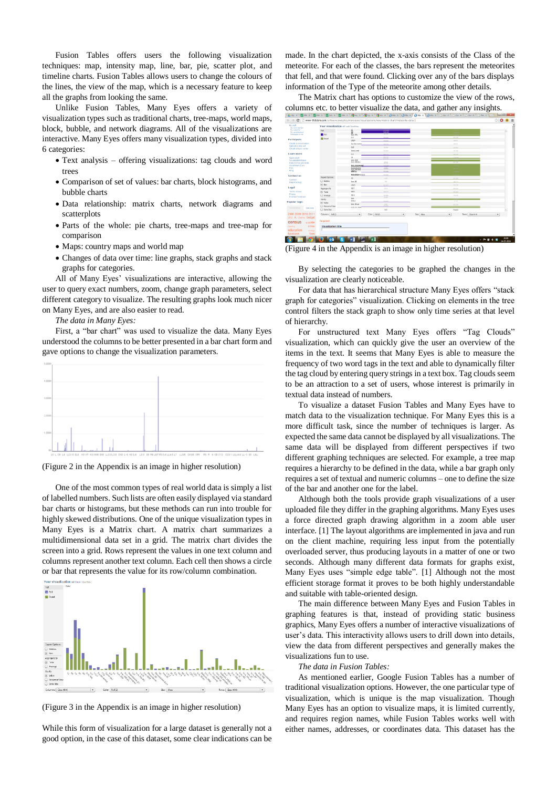Fusion Tables offers users the following visualization techniques: map, intensity map, line, bar, pie, scatter plot, and timeline charts. Fusion Tables allows users to change the colours of the lines, the view of the map, which is a necessary feature to keep all the graphs from looking the same.

Unlike Fusion Tables, Many Eyes offers a variety of visualization types such as traditional charts, tree-maps, world maps, block, bubble, and network diagrams. All of the visualizations are interactive. Many Eyes offers many visualization types, divided into 6 categories:

- Text analysis offering visualizations: tag clouds and word trees
- Comparison of set of values: bar charts, block histograms, and bubble charts
- Data relationship: matrix charts, network diagrams and scatterplots
- Parts of the whole: pie charts, tree-maps and tree-map for comparison
- Maps: country maps and world map
- Changes of data over time: line graphs, stack graphs and stack graphs for categories.

All of Many Eyes' visualizations are interactive, allowing the user to query exact numbers, zoom, change graph parameters, select different category to visualize. The resulting graphs look much nicer on Many Eyes, and are also easier to read.

*The data in Many Eyes:*

First, a "bar chart" was used to visualize the data. Many Eyes understood the columns to be better presented in a bar chart form and gave options to change the visualization parameters.



(Figure 2 in the Appendix is an image in higher resolution)

One of the most common types of real world data is simply a list of labelled numbers. Such lists are often easily displayed via standard bar charts or histograms, but these methods can run into trouble for highly skewed distributions. One of the unique visualization types in Many Eyes is a Matrix chart. A matrix chart summarizes a multidimensional data set in a grid. The matrix chart divides the screen into a grid. Rows represent the values in one text column and columns represent another text column. Each cell then shows a circle or bar that represents the value for its row/column combination.



(Figure 3 in the Appendix is an image in higher resolution)

While this form of visualization for a large dataset is generally not a good option, in the case of this dataset, some clear indications can be made. In the chart depicted, the x-axis consists of the Class of the meteorite. For each of the classes, the bars represent the meteorites that fell, and that were found. Clicking over any of the bars displays information of the Type of the meteorite among other details.

The Matrix chart has options to customize the view of the rows, columns etc. to better visualize the data, and gather any insights.

| My stuff<br>My tapic centers                | Your visualization ull look like this: |                      |                                       |           |                                          |                           |  |  |  |  |  |  |
|---------------------------------------------|----------------------------------------|----------------------|---------------------------------------|-----------|------------------------------------------|---------------------------|--|--|--|--|--|--|
| <b>My webshire</b><br>My contributions      | Fell                                   |                      | 1.00166                               |           |                                          | a.                        |  |  |  |  |  |  |
| Messages to me                              | <b>B</b> Fell                          | $\frac{10}{100}$ and | 78,592                                |           |                                          |                           |  |  |  |  |  |  |
| Participate                                 | <b>Q</b> Found                         | LLS:                 | <b>TALIA</b>                          |           | 303.545                                  |                           |  |  |  |  |  |  |
|                                             |                                        | Ltte                 | 135,000                               |           | <b>PERTY</b>                             |                           |  |  |  |  |  |  |
| Create a visualization<br>Upload a data set |                                        | Eucrite-minict       | 111.722                               |           | 84,512                                   |                           |  |  |  |  |  |  |
| Create a topic center                       |                                        | Cv2                  | 33,300                                |           | 351.047                                  |                           |  |  |  |  |  |  |
|                                             |                                        | Stone-uncl           | 125,526                               |           | <b>SETTING</b>                           |                           |  |  |  |  |  |  |
| <b>Learn more</b>                           |                                        | LLE                  | 444.122                               |           | $100 - 100$                              |                           |  |  |  |  |  |  |
| Quick start                                 |                                        | L6                   | $\frac{133,343}{311,372}$             |           |                                          |                           |  |  |  |  |  |  |
| Visualization hpes<br>Data format and style |                                        | Inn, 183             | 26162                                 |           | $-11$                                    |                           |  |  |  |  |  |  |
| About Many Eyes                             |                                        | <b>BECLISSIONES</b>  | 101111                                |           |                                          |                           |  |  |  |  |  |  |
| <b>FAQ</b>                                  |                                        | Mesophical           | 3795                                  |           |                                          |                           |  |  |  |  |  |  |
| Ellog                                       |                                        |                      | 141,500                               |           |                                          |                           |  |  |  |  |  |  |
| Contact us                                  | Expert Outlans                         | Maddificio-ASH       | 120,000                               |           |                                          |                           |  |  |  |  |  |  |
| Contact                                     |                                        | H3                   | 3,652                                 |           | 207,828                                  |                           |  |  |  |  |  |  |
| Report a bug                                | C Bibbles                              | Inn, IE              | 100                                   |           | 141717                                   |                           |  |  |  |  |  |  |
|                                             | $(a)$ form                             | Ltts                 | DEL BEL                               |           | 154,246                                  |                           |  |  |  |  |  |  |
| Legal                                       | Aggregate By                           | H3.7                 | 3,418                                 |           | 201.772                                  |                           |  |  |  |  |  |  |
| Terms of use<br>Privacy                     | $\odot$ Total                          | H4%                  | 183,327                               |           | (1, 0)                                   |                           |  |  |  |  |  |  |
| Provide Feedback                            | C) Avenue                              | H3-6                 | 184,000<br>25,687                     |           | 135,548                                  |                           |  |  |  |  |  |  |
|                                             | Size By                                | tre-<br>CDB2         | 300.000                               |           | 1/10                                     |                           |  |  |  |  |  |  |
| Popular tags:                               | $(a)$ Value                            | Iron, IlE-an         |                                       |           | 301739                                   |                           |  |  |  |  |  |  |
| Maxwell reference<br><b>Cola nets</b>       | C Percent of Row                       | Fellocks FAA         | $\frac{6,000}{273,200}$               |           |                                          |                           |  |  |  |  |  |  |
|                                             | G Same Size                            |                      | Fell                                  |           | Tourd                                    | $\boldsymbol{\mathrm{v}}$ |  |  |  |  |  |  |
| 2008 2009 2010 2011                         | Columns   Fall (2)                     | $\mathbf{v}$         | Color Fall (2)<br>$\vert \cdot \vert$ | Size Mass | Rows   Classi4141<br>$\vert \cdot \vert$ | $  \cdot  $               |  |  |  |  |  |  |
| 2012 A Obama budget                         |                                        |                      |                                       |           |                                          |                           |  |  |  |  |  |  |
|                                             | Required                               |                      |                                       |           |                                          |                           |  |  |  |  |  |  |
| census<br>cos104                            |                                        |                      |                                       |           |                                          |                           |  |  |  |  |  |  |
| crime<br>country.                           | <b>Visualization title</b>             |                      |                                       |           |                                          |                           |  |  |  |  |  |  |
| education<br>energy                         |                                        |                      |                                       |           |                                          |                           |  |  |  |  |  |  |
| facebook<br>food                            |                                        |                      |                                       |           |                                          |                           |  |  |  |  |  |  |

(Figure 4 in the Appendix is an image in higher resolution)

By selecting the categories to be graphed the changes in the visualization are clearly noticeable.

For data that has hierarchical structure Many Eyes offers "stack graph for categories" visualization. Clicking on elements in the tree control filters the stack graph to show only time series at that level of hierarchy.

For unstructured text Many Eyes offers "Tag Clouds" visualization, which can quickly give the user an overview of the items in the text. It seems that Many Eyes is able to measure the frequency of two word tags in the text and able to dynamically filter the tag cloud by entering query strings in a text box. Tag clouds seem to be an attraction to a set of users, whose interest is primarily in textual data instead of numbers.

To visualize a dataset Fusion Tables and Many Eyes have to match data to the visualization technique. For Many Eyes this is a more difficult task, since the number of techniques is larger. As expected the same data cannot be displayed by all visualizations. The same data will be displayed from different perspectives if two different graphing techniques are selected. For example, a tree map requires a hierarchy to be defined in the data, while a bar graph only requires a set of textual and numeric columns – one to define the size of the bar and another one for the label.

Although both the tools provide graph visualizations of a user uploaded file they differ in the graphing algorithms. Many Eyes uses a force directed graph drawing algorithm in a zoom able user interface. [1] The layout algorithms are implemented in java and run on the client machine, requiring less input from the potentially overloaded server, thus producing layouts in a matter of one or two seconds. Although many different data formats for graphs exist, Many Eyes uses "simple edge table". [1] Although not the most efficient storage format it proves to be both highly understandable and suitable with table-oriented design.

The main difference between Many Eyes and Fusion Tables in graphing features is that, instead of providing static business graphics, Many Eyes offers a number of interactive visualizations of user's data. This interactivity allows users to drill down into details, view the data from different perspectives and generally makes the visualizations fun to use.

#### *The data in Fusion Tables:*

As mentioned earlier, Google Fusion Tables has a number of traditional visualization options. However, the one particular type of visualization, which is unique is the map visualization. Though Many Eyes has an option to visualize maps, it is limited currently, and requires region names, while Fusion Tables works well with either names, addresses, or coordinates data. This dataset has the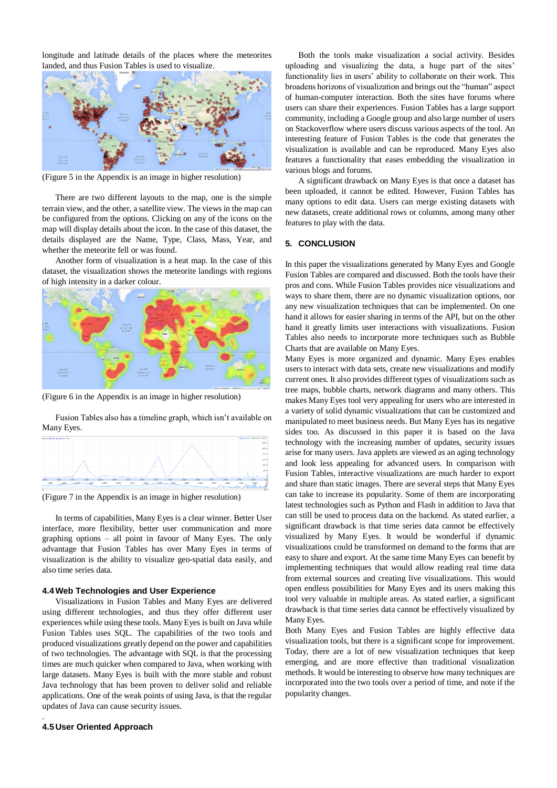longitude and latitude details of the places where the meteorites landed, and thus Fusion Tables is used to visualize.



(Figure 5 in the Appendix is an image in higher resolution)

There are two different layouts to the map, one is the simple terrain view, and the other, a satellite view. The views in the map can be configured from the options. Clicking on any of the icons on the map will display details about the icon. In the case of this dataset, the details displayed are the Name, Type, Class, Mass, Year, and whether the meteorite fell or was found.

Another form of visualization is a heat map. In the case of this dataset, the visualization shows the meteorite landings with regions of high intensity in a darker colour.



(Figure 6 in the Appendix is an image in higher resolution)

Fusion Tables also has a timeline graph, which isn't available on Many Eyes.



(Figure 7 in the Appendix is an image in higher resolution)

In terms of capabilities, Many Eyes is a clear winner. Better User interface, more flexibility, better user communication and more graphing options – all point in favour of Many Eyes. The only advantage that Fusion Tables has over Many Eyes in terms of visualization is the ability to visualize geo-spatial data easily, and also time series data.

#### **4.4Web Technologies and User Experience**

Visualizations in Fusion Tables and Many Eyes are delivered using different technologies, and thus they offer different user experiences while using these tools. Many Eyes is built on Java while Fusion Tables uses SQL. The capabilities of the two tools and produced visualizations greatly depend on the power and capabilities of two technologies. The advantage with SQL is that the processing times are much quicker when compared to Java, when working with large datasets. Many Eyes is built with the more stable and robust Java technology that has been proven to deliver solid and reliable applications. One of the weak points of using Java, is that the regular updates of Java can cause security issues.

#### **4.5 User Oriented Approach**

.

Both the tools make visualization a social activity. Besides uploading and visualizing the data, a huge part of the sites' functionality lies in users' ability to collaborate on their work. This broadens horizons of visualization and brings out the "human" aspect of human-computer interaction. Both the sites have forums where users can share their experiences. Fusion Tables has a large support community, including a Google group and also large number of users on Stackoverflow where users discuss various aspects of the tool. An interesting feature of Fusion Tables is the code that generates the visualization is available and can be reproduced. Many Eyes also features a functionality that eases embedding the visualization in various blogs and forums.

A significant drawback on Many Eyes is that once a dataset has been uploaded, it cannot be edited. However, Fusion Tables has many options to edit data. Users can merge existing datasets with new datasets, create additional rows or columns, among many other features to play with the data.

#### **5. CONCLUSION**

In this paper the visualizations generated by Many Eyes and Google Fusion Tables are compared and discussed. Both the tools have their pros and cons. While Fusion Tables provides nice visualizations and ways to share them, there are no dynamic visualization options, nor any new visualization techniques that can be implemented. On one hand it allows for easier sharing in terms of the API, but on the other hand it greatly limits user interactions with visualizations. Fusion Tables also needs to incorporate more techniques such as Bubble Charts that are available on Many Eyes.

Many Eyes is more organized and dynamic. Many Eyes enables users to interact with data sets, create new visualizations and modify current ones. It also provides different types of visualizations such as tree maps, bubble charts, network diagrams and many others. This makes Many Eyes tool very appealing for users who are interested in a variety of solid dynamic visualizations that can be customized and manipulated to meet business needs. But Many Eyes has its negative sides too. As discussed in this paper it is based on the Java technology with the increasing number of updates, security issues arise for many users. Java applets are viewed as an aging technology and look less appealing for advanced users. In comparison with Fusion Tables, interactive visualizations are much harder to export and share than static images. There are several steps that Many Eyes can take to increase its popularity. Some of them are incorporating latest technologies such as Python and Flash in addition to Java that can still be used to process data on the backend. As stated earlier, a significant drawback is that time series data cannot be effectively visualized by Many Eyes. It would be wonderful if dynamic visualizations could be transformed on demand to the forms that are easy to share and export. At the same time Many Eyes can benefit by implementing techniques that would allow reading real time data from external sources and creating live visualizations. This would open endless possibilities for Many Eyes and its users making this tool very valuable in multiple areas. As stated earlier, a significant drawback is that time series data cannot be effectively visualized by Many Eyes.

Both Many Eyes and Fusion Tables are highly effective data visualization tools, but there is a significant scope for improvement. Today, there are a lot of new visualization techniques that keep emerging, and are more effective than traditional visualization methods. It would be interesting to observe how many techniques are incorporated into the two tools over a period of time, and note if the popularity changes.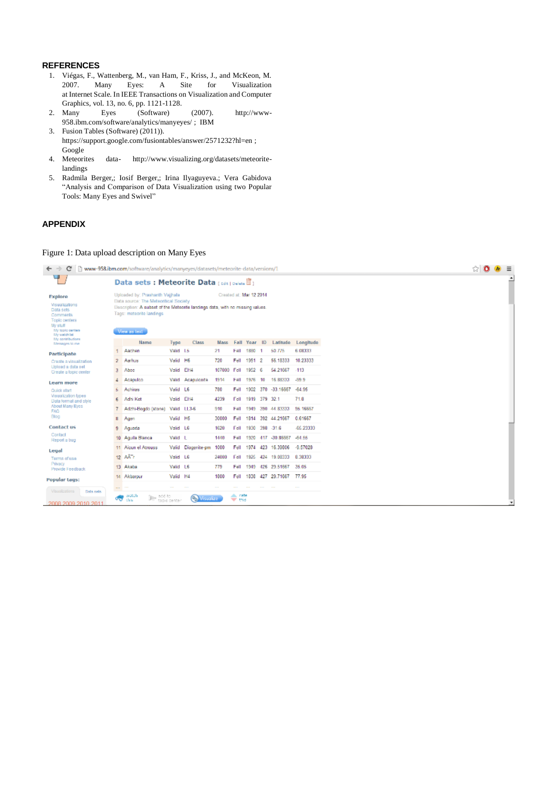## **REFERENCES**

- 1. Viégas, F., Wattenberg, M., van Ham, F., Kriss, J., and McKeon, M. 2007. Many Eyes: A Site for Visualization at Internet Scale. In IEEE Transactions on Visualization and Computer Graphics, vol. 13, no. 6, pp. 1121-1128.
- 2. Many Eyes (Software) (2007). [http://www-](http://www-958.ibm.com/software/analytics/manyeyes/)[958.ibm.com/software/analytics/manyeyes/](http://www-958.ibm.com/software/analytics/manyeyes/) ; IBM
- 3. Fusion Tables (Software) (2011)). https://support.google.com/fusiontables/answer/2571232?hl=en ; Google
- 4. Meteorites data- http://www.visualizing.org/datasets/meteoritelandings
- 5. Radmila Berger,; Iosif Berger,; Irina Ilyaguyeva.; Vera Gabidova "Analysis and Comparison of Data Visualization using two Popular Tools: Many Eyes and Swivel"

# **APPENDIX**

# Figure 1: Data upload description on Many Eyes

| $\leftarrow$<br>C                                                                                   |                                                                                                                                                                                                                                  | www-958.ibm.com/software/analytics/manyeyes/datasets/meteorite-data/versions/1 |                  |                         |             |            |                             |     |                           |                               |  |  |
|-----------------------------------------------------------------------------------------------------|----------------------------------------------------------------------------------------------------------------------------------------------------------------------------------------------------------------------------------|--------------------------------------------------------------------------------|------------------|-------------------------|-------------|------------|-----------------------------|-----|---------------------------|-------------------------------|--|--|
| Ч                                                                                                   |                                                                                                                                                                                                                                  | Data sets: Meteorite Data [call Delate II]                                     |                  |                         |             |            |                             |     |                           |                               |  |  |
| Explore<br>Visualizations<br>Data sets<br>Comments<br>Topic centers<br>My stuff<br>My topic centers | Created at: Mar 12 2014<br>Uploaded by: Prashanth Vajjhala<br>Data source: The Meteoritical Society<br>Description: A subset of the Meteorite landings data, with no missing values.<br>Tags: meteorite landings<br>View as text |                                                                                |                  |                         |             |            |                             |     |                           |                               |  |  |
| My watchlat<br>My contributions                                                                     |                                                                                                                                                                                                                                  |                                                                                |                  |                         |             |            |                             |     |                           |                               |  |  |
| Messages to me.                                                                                     |                                                                                                                                                                                                                                  | Name<br>Aachen                                                                 | Type<br>Valid L5 | Class                   | Mass<br>21  |            | Fall Year ID<br>Fell 1880 1 |     | 50.775                    | Latitude Longitude<br>6.08333 |  |  |
| Participate                                                                                         |                                                                                                                                                                                                                                  | Aarhus                                                                         | Valid H6         |                         | 720         | Fell       | 1951 2                      |     | 56.18333                  | 10.23333                      |  |  |
| Create a visualization<br>Upload a data set                                                         | $\mathbf{2}^-$                                                                                                                                                                                                                   |                                                                                |                  |                         |             |            |                             |     |                           | $-113$                        |  |  |
| Create a topic center                                                                               | 3                                                                                                                                                                                                                                | Abee                                                                           | Valid EH4        |                         | 107000 Fell |            | 1952 6                      |     | 54.21667                  |                               |  |  |
| Learn more                                                                                          |                                                                                                                                                                                                                                  | Acapulco                                                                       |                  | Valid Acapulcoite       | 1914        | Fell       | 1976 10                     |     | 16 88333 - 59.9           |                               |  |  |
| Quick start<br>Visualization types                                                                  | 5.                                                                                                                                                                                                                               | Achiras                                                                        | Valid L6         |                         | 780         | Fell       |                             |     | 1902 370 -33.16667 -64.96 |                               |  |  |
| Data format and style                                                                               | 6                                                                                                                                                                                                                                | Adhi Kat                                                                       | Valid EH4        |                         | 4239        | Fell       | 1919 379 32.1               |     |                           | 71.8                          |  |  |
| About Many Eyes<br>FAQ:                                                                             |                                                                                                                                                                                                                                  | Adzhi-Bogdo (stone) Valid LL3-6                                                |                  |                         | 910         | Fell       | 1949                        |     | 390 44 83333              | 95.16667                      |  |  |
| Blog                                                                                                | 8                                                                                                                                                                                                                                | Agen                                                                           | Valid H6         |                         | 30000       | Fell       | 1814                        |     | 392 44.21667              | 0.61667                       |  |  |
| <b>Contact us</b>                                                                                   | 9.                                                                                                                                                                                                                               | Aguada                                                                         | Valid LG         |                         | 1620        | Fell       | 1930                        | 398 | $-31.6$                   | -65.23333                     |  |  |
| Contact<br>Report a bug                                                                             |                                                                                                                                                                                                                                  | 10 Aguila Blanca                                                               | Valid L          |                         | 1440        | Fell       |                             |     | 1920 417 -30.86667        | -64.55                        |  |  |
| Legal                                                                                               |                                                                                                                                                                                                                                  | 11 Aioun el Atrouss                                                            |                  | Valid Diogenite-pm 1000 |             | Fell       | 1974                        | 423 | 16.39806                  | $-9.57028$                    |  |  |
| Terms of use                                                                                        |                                                                                                                                                                                                                                  | 12 AA r                                                                        | Valid L6         |                         | 24000       | Fell       | 1925                        |     | 424 19.08333              | 8.38333                       |  |  |
| Privacy<br>Provide Feedback                                                                         |                                                                                                                                                                                                                                  | 13 Akaba                                                                       | Valid L6         |                         | 779         | Fell       |                             |     | 1949 426 29.51667         | 35.05                         |  |  |
|                                                                                                     |                                                                                                                                                                                                                                  | 14 Akbarpur                                                                    | Valid H4         |                         | 1800        | Fell       | 1838                        |     | 427 29.71667              | 77.95                         |  |  |
| Popular tags:                                                                                       | $\sim$                                                                                                                                                                                                                           |                                                                                | $\sim$           |                         |             |            |                             |     |                           |                               |  |  |
| Visualizations<br>Data sets                                                                         |                                                                                                                                                                                                                                  | watch<br>line add to                                                           |                  |                         |             | alla, nate |                             |     |                           |                               |  |  |
| 2008 2009 2010 2011                                                                                 | ᢦᢐ                                                                                                                                                                                                                               | this                                                                           | topic center     | (%) Visualize           |             | w this     |                             |     |                           |                               |  |  |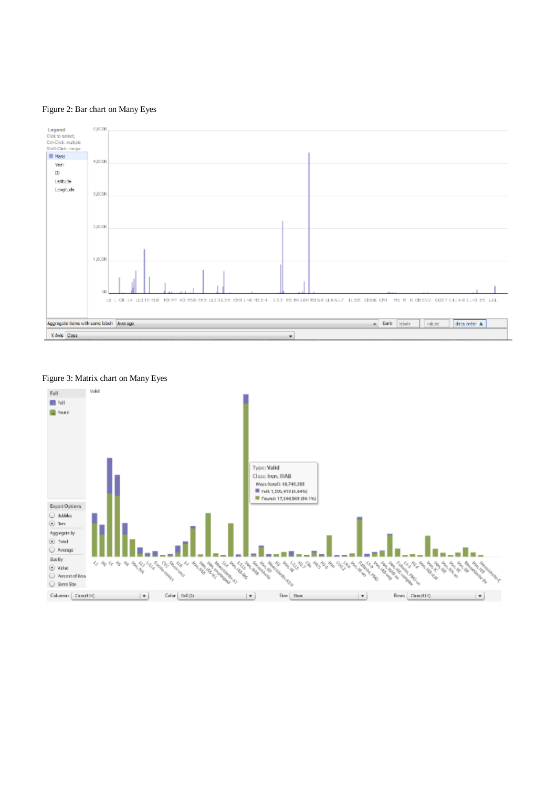# Figure 2: Bar chart on Many Eyes



# Figure 3: Matrix chart on Many Eyes

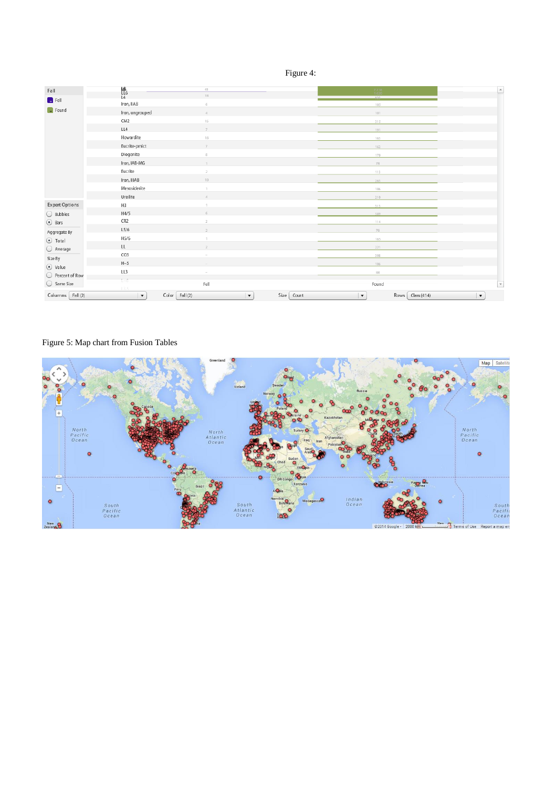|--|--|

| Fall                                         | 艳                                       | 41                |                                       | $^{7,318}_{1,620}$                          | $\overline{\phantom{a}}$ |
|----------------------------------------------|-----------------------------------------|-------------------|---------------------------------------|---------------------------------------------|--------------------------|
|                                              | L4                                      | $18\,$            |                                       | nns.                                        |                          |
| $\Box$ Fell                                  | Iron, IIAB                              | 6                 |                                       | 105                                         |                          |
| $\Box$ Found                                 | Iron, ungrouped                         | $\mathcal{A}$     |                                       | 101                                         |                          |
|                                              | CM <sub>2</sub>                         | 15                |                                       | 315                                         |                          |
|                                              | LL4                                     | $\mathcal{T}$     |                                       | 191                                         |                          |
|                                              | Howardite                               | $16\,$            |                                       | 163                                         |                          |
|                                              | Eucrite-pmict                           | $\mathcal{T}$     |                                       | 162                                         |                          |
|                                              | Diogenite                               | $\mathbf{g}$      |                                       | 170                                         |                          |
|                                              | Iron, IAB-MG                            | $\mathbb{I}$      |                                       | 78                                          |                          |
|                                              | Eucrite                                 | $\overline{z}$    |                                       | 113                                         |                          |
|                                              | Iron, IIIAB                             | 10                |                                       | 263                                         |                          |
|                                              | Mesosiderite                            | $\mathbb{I}$      |                                       | 106                                         |                          |
|                                              | Ureilite                                | $\mathcal{A}_1$ . |                                       | 210                                         |                          |
| <b>Expert Options</b>                        | H3                                      | $\mathbb{I}$      |                                       | 313                                         |                          |
| $\bigcirc$ Bubbles                           | H4/5                                    | 6                 |                                       | 389                                         |                          |
| $\odot$ Bars                                 | CR <sub>2</sub>                         | $\overline{2}$    |                                       | 114                                         |                          |
| Aggregate By                                 | L5/6                                    | $\mathbf{Z}$      |                                       | 76                                          |                          |
| $\odot$ Total                                | H5/6                                    | $\mathbb{I}$      |                                       | 165                                         |                          |
| ○ Average                                    | LL                                      | $\mathbb{Z}$      |                                       | 221                                         |                          |
| Size By<br>$\odot$ Value<br>○ Percent of Row | CO <sub>3</sub>                         |                   |                                       | 308                                         |                          |
|                                              | H~5                                     |                   |                                       | 106                                         |                          |
|                                              | LL3                                     |                   |                                       | 88                                          |                          |
| Same Size                                    | $\overline{\phantom{0}}$                | Fell              |                                       | Found                                       | $\overline{\mathbf v}$   |
| Columns Fall (2)                             | 13.5<br>Color  <br>$\blacktriangledown$ | Fall (2)          | Size<br>$\blacktriangledown$<br>Count | $\blacktriangledown$<br>Rows<br>Class (414) | $\vert \mathbf{v} \vert$ |

# Figure 5: Map chart from Fusion Tables